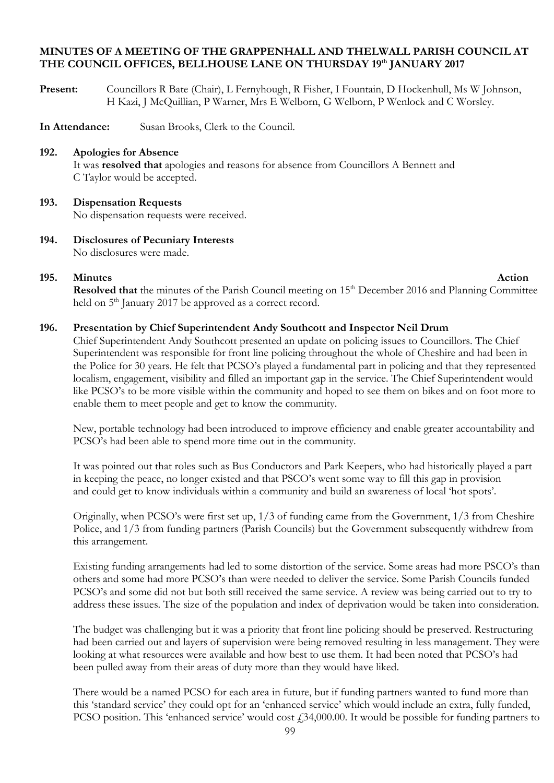# **MINUTES OF A MEETING OF THE GRAPPENHALL AND THELWALL PARISH COUNCIL AT THE COUNCIL OFFICES, BELLHOUSE LANE ON THURSDAY 19 th JANUARY 2017**

- **Present:** Councillors R Bate (Chair), L Fernyhough, R Fisher, I Fountain, D Hockenhull, Ms W Johnson, H Kazi, J McQuillian, P Warner, Mrs E Welborn, G Welborn, P Wenlock and C Worsley.
- **In Attendance:** Susan Brooks, Clerk to the Council.

# **192. Apologies for Absence**

It was **resolved that** apologies and reasons for absence from Councillors A Bennett and C Taylor would be accepted.

# **193. Dispensation Requests**

No dispensation requests were received.

**194. Disclosures of Pecuniary Interests** No disclosures were made.

# **195.** Minutes **Action**

Resolved that the minutes of the Parish Council meeting on 15<sup>th</sup> December 2016 and Planning Committee held on 5<sup>th</sup> January 2017 be approved as a correct record.

# **196. Presentation by Chief Superintendent Andy Southcott and Inspector Neil Drum**

Chief Superintendent Andy Southcott presented an update on policing issues to Councillors. The Chief Superintendent was responsible for front line policing throughout the whole of Cheshire and had been in the Police for 30 years. He felt that PCSO's played a fundamental part in policing and that they represented localism, engagement, visibility and filled an important gap in the service. The Chief Superintendent would like PCSO's to be more visible within the community and hoped to see them on bikes and on foot more to enable them to meet people and get to know the community.

New, portable technology had been introduced to improve efficiency and enable greater accountability and PCSO's had been able to spend more time out in the community.

It was pointed out that roles such as Bus Conductors and Park Keepers, who had historically played a part in keeping the peace, no longer existed and that PSCO's went some way to fill this gap in provision and could get to know individuals within a community and build an awareness of local 'hot spots'.

Originally, when PCSO's were first set up, 1/3 of funding came from the Government, 1/3 from Cheshire Police, and 1/3 from funding partners (Parish Councils) but the Government subsequently withdrew from this arrangement.

Existing funding arrangements had led to some distortion of the service. Some areas had more PSCO's than others and some had more PCSO's than were needed to deliver the service. Some Parish Councils funded PCSO's and some did not but both still received the same service. A review was being carried out to try to address these issues. The size of the population and index of deprivation would be taken into consideration.

The budget was challenging but it was a priority that front line policing should be preserved. Restructuring had been carried out and layers of supervision were being removed resulting in less management. They were looking at what resources were available and how best to use them. It had been noted that PCSO's had been pulled away from their areas of duty more than they would have liked.

There would be a named PCSO for each area in future, but if funding partners wanted to fund more than this 'standard service' they could opt for an 'enhanced service' which would include an extra, fully funded, PCSO position. This 'enhanced service' would cost  $\text{\textsterling}34,000.00$ . It would be possible for funding partners to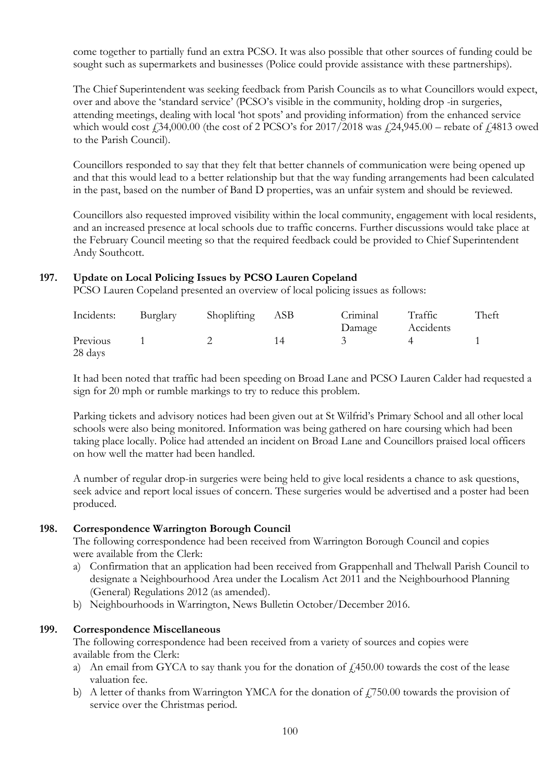come together to partially fund an extra PCSO. It was also possible that other sources of funding could be sought such as supermarkets and businesses (Police could provide assistance with these partnerships).

The Chief Superintendent was seeking feedback from Parish Councils as to what Councillors would expect, over and above the 'standard service' (PCSO's visible in the community, holding drop -in surgeries, attending meetings, dealing with local 'hot spots' and providing information) from the enhanced service which would cost  $\text{\textsterling}34,000.00$  (the cost of 2 PCSO's for 2017/2018 was  $\text{\textsterling}24,945.00$  – rebate of  $\text{\textsterling}4813$  owed to the Parish Council).

Councillors responded to say that they felt that better channels of communication were being opened up and that this would lead to a better relationship but that the way funding arrangements had been calculated in the past, based on the number of Band D properties, was an unfair system and should be reviewed.

Councillors also requested improved visibility within the local community, engagement with local residents, and an increased presence at local schools due to traffic concerns. Further discussions would take place at the February Council meeting so that the required feedback could be provided to Chief Superintendent Andy Southcott.

# **197. Update on Local Policing Issues by PCSO Lauren Copeland**

PCSO Lauren Copeland presented an overview of local policing issues as follows:

| Incidents: | Burglary | Shoplifting | ASB | Criminal | Traffic   | Theft |
|------------|----------|-------------|-----|----------|-----------|-------|
|            |          |             |     | Damage   | Accidents |       |
| Previous   |          |             | 14  |          |           |       |
| 28 days    |          |             |     |          |           |       |

It had been noted that traffic had been speeding on Broad Lane and PCSO Lauren Calder had requested a sign for 20 mph or rumble markings to try to reduce this problem.

Parking tickets and advisory notices had been given out at St Wilfrid's Primary School and all other local schools were also being monitored. Information was being gathered on hare coursing which had been taking place locally. Police had attended an incident on Broad Lane and Councillors praised local officers on how well the matter had been handled.

A number of regular drop-in surgeries were being held to give local residents a chance to ask questions, seek advice and report local issues of concern. These surgeries would be advertised and a poster had been produced.

# **198. Correspondence Warrington Borough Council**

The following correspondence had been received from Warrington Borough Council and copies were available from the Clerk:

- a) Confirmation that an application had been received from Grappenhall and Thelwall Parish Council to designate a Neighbourhood Area under the Localism Act 2011 and the Neighbourhood Planning (General) Regulations 2012 (as amended).
- b) Neighbourhoods in Warrington, News Bulletin October/December 2016.

# **199. Correspondence Miscellaneous**

The following correspondence had been received from a variety of sources and copies were available from the Clerk:

- a) An email from GYCA to say thank you for the donation of  $\ell$ ,450.00 towards the cost of the lease valuation fee.
- b) A letter of thanks from Warrington YMCA for the donation of  $f_1$ 750.00 towards the provision of service over the Christmas period.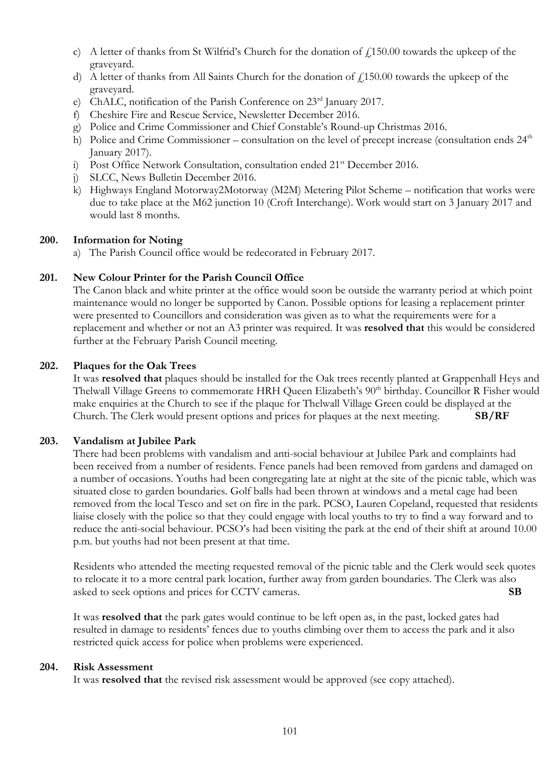- c) A letter of thanks from St Wilfrid's Church for the donation of  $\ell$ 150.00 towards the upkeep of the graveyard.
- d) A letter of thanks from All Saints Church for the donation of  $f<sub>i</sub>150.00$  towards the upkeep of the graveyard.
- e) ChALC, notification of the Parish Conference on 23<sup>rd</sup> January 2017.
- f) Cheshire Fire and Rescue Service, Newsletter December 2016.
- g) Police and Crime Commissioner and Chief Constable's Round-up Christmas 2016.
- h) Police and Crime Commissioner consultation on the level of precept increase (consultation ends  $24<sup>th</sup>$ January 2017).
- i) Post Office Network Consultation, consultation ended 21<sup>st</sup> December 2016.
- j) SLCC, News Bulletin December 2016.
- k) Highways England Motorway2Motorway (M2M) Metering Pilot Scheme notification that works were due to take place at the M62 junction 10 (Croft Interchange). Work would start on 3 January 2017 and would last 8 months.

# **200. Information for Noting**

a) The Parish Council office would be redecorated in February 2017.

# **201. New Colour Printer for the Parish Council Office**

The Canon black and white printer at the office would soon be outside the warranty period at which point maintenance would no longer be supported by Canon. Possible options for leasing a replacement printer were presented to Councillors and consideration was given as to what the requirements were for a replacement and whether or not an A3 printer was required. It was **resolved that** this would be considered further at the February Parish Council meeting.

# **202. Plaques for the Oak Trees**

It was **resolved that** plaques should be installed for the Oak trees recently planted at Grappenhall Heys and Thelwall Village Greens to commemorate HRH Queen Elizabeth's 90<sup>th</sup> birthday. Councillor R Fisher would make enquiries at the Church to see if the plaque for Thelwall Village Green could be displayed at the Church. The Clerk would present options and prices for plaques at the next meeting. **SB/RF**

# **203. Vandalism at Jubilee Park**

There had been problems with vandalism and anti-social behaviour at Jubilee Park and complaints had been received from a number of residents. Fence panels had been removed from gardens and damaged on a number of occasions. Youths had been congregating late at night at the site of the picnic table, which was situated close to garden boundaries. Golf balls had been thrown at windows and a metal cage had been removed from the local Tesco and set on fire in the park. PCSO, Lauren Copeland, requested that residents liaise closely with the police so that they could engage with local youths to try to find a way forward and to reduce the anti-social behaviour. PCSO's had been visiting the park at the end of their shift at around 10.00 p.m. but youths had not been present at that time.

Residents who attended the meeting requested removal of the picnic table and the Clerk would seek quotes to relocate it to a more central park location, further away from garden boundaries. The Clerk was also asked to seek options and prices for CCTV cameras. **SB**

It was **resolved that** the park gates would continue to be left open as, in the past, locked gates had resulted in damage to residents' fences due to youths climbing over them to access the park and it also restricted quick access for police when problems were experienced.

# **204. Risk Assessment**

It was **resolved that** the revised risk assessment would be approved (see copy attached).